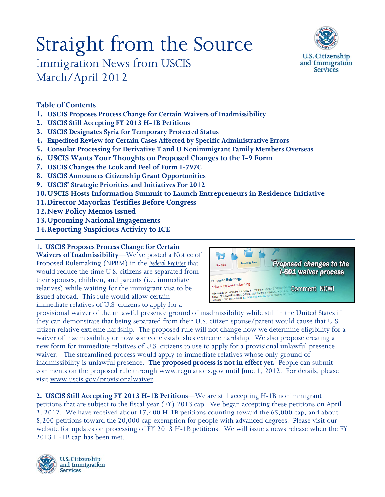# Straight from the Source Immigration News from USCIS March/April 2012



## **Table of Contents**

- **1. USCIS Proposes Process Change for Certain Waivers of Inadmissibility**
- **2. USCIS Still Accepting FY 2013 H-1B Petitions**
- **3. USCIS Designates Syria for Temporary Protected Status**
- **4. Expedited Review for Certain Cases Affected by Specific Administrative Errors**
- **5. Consular Processing for Derivative T and U Nonimmigrant Family Members Overseas**
- **6. USCIS Wants Your Thoughts on Proposed Changes to the I-9 Form**
- **7. [USCIS Changes the Look and Feel of Form I-797C](http://www.uscis.gov/portal/site/uscis/menuitem.5af9bb95919f35e66f614176543f6d1a/?vgnextoid=583c8b9740466310VgnVCM100000082ca60aRCRD&vgnextchannel=68439c7755cb9010VgnVCM10000045f3d6a1RCRD)**
- **8. USCIS Announces Citizenship Grant Opportunities**
- **9. [USCIS' Strategic Priorities and Initiatives For 2012](http://www.uscis.gov/portal/site/uscis/menuitem.5af9bb95919f35e66f614176543f6d1a/?vgnextoid=f0b814c432c26310VgnVCM100000082ca60aRCRD&vgnextchannel=68439c7755cb9010VgnVCM10000045f3d6a1RCRD)**
- **10.USCIS Hosts Information Summit to Launch Entrepreneurs in Residence Initiative**
- **11.Director Mayorkas Testifies Before Congress**
- **12.New Policy Memos Issued**
- **13.Upcoming National Engagements**
- **14.Reporting Suspicious Activity to ICE**

## **1. USCIS Proposes Process Change for Certain**

**Waivers of Inadmissibility—**We've posted a Notice of Proposed Rulemaking (NPRM) in the *[Federal Register](http://www.gpo.gov/fdsys/pkg/FR-2012-04-02/html/2012-7698.htm)* that would reduce the time U.S. citizens are separated from their spouses, children, and parents (i.e. immediate relatives) while waiting for the immigrant visa to be issued abroad. This rule would allow certain immediate relatives of U.S. citizens to apply for a



provisional waiver of the unlawful presence ground of inadmissibility while still in the United States if they can demonstrate that being separated from their U.S. citizen spouse/parent would cause that U.S. citizen relative extreme hardship. The proposed rule will not change how we determine eligibility for a waiver of inadmissibility or how someone establishes extreme hardship. We also propose creating a new form for immediate relatives of U.S. citizens to use to apply for a provisional unlawful presence waiver. The streamlined process would apply to immediate relatives whose only ground of inadmissibility is unlawful presence. **The proposed process is not in effect yet.** People can submit comments on the proposed rule through [www.regulations.gov](http://www.regulations.gov/#!documentDetail;D=USCIS-2012-0003-0001) until June 1, 2012. For details, please visit [www.uscis.gov/provisionalwaiver.](http://www.uscis.gov/provisionalwaiver)

**2. USCIS Still Accepting FY 2013 H-1B Petitions—**We are still accepting H-1B nonimmigrant petitions that are subject to the fiscal year (FY) 2013 cap. We began accepting these petitions on April 2, 2012. We have received about 17,400 H-1B petitions counting toward the 65,000 cap, and about 8,200 petitions toward the 20,000 cap exemption for people with advanced degrees. Please visit our [website](http://www.uscis.gov/portal/site/uscis/menuitem.5af9bb95919f35e66f614176543f6d1a/?vgnextoid=4b7cdd1d5fd37210VgnVCM100000082ca60aRCRD&vgnextchannel=73566811264a3210VgnVCM100000b92ca60aRCRD) for updates on processing of FY 2013 H-1B petitions. We will issue a news release when the FY 2013 H-1B cap has been met.



**U.S. Citizenship** and Immigration **Services**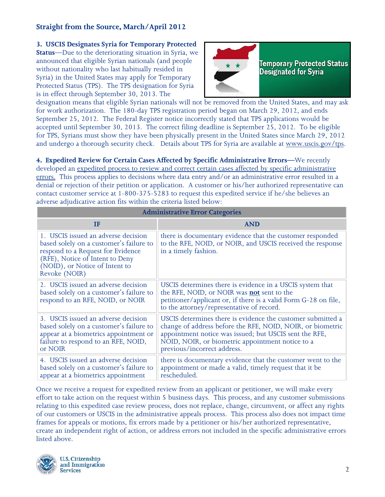#### **3. USCIS Designates Syria for Temporary Protected**

**Status**—Due to the deteriorating situation in Syria, we announced that eligible Syrian nationals (and people without nationality who last habitually resided in Syria) in the United States may apply for Temporary Protected Status (TPS). The TPS designation for Syria is in effect through September 30, 2013. The



designation means that eligible Syrian nationals will not be removed from the United States, and may ask for work authorization. The 180-day TPS registration period began on March 29, 2012, and ends September 25, 2012. The Federal Register notice incorrectly stated that TPS applications would be accepted until September 30, 2013. The correct filing deadline is September 25, 2012. To be eligible for TPS, Syrians must show they have been physically present in the United States since March 29, 2012 and undergo a thorough security check. Details about TPS for Syria are available at [www.uscis.gov/tps.](http://www.uscis.gov/tps)

**4. Expedited Review for Certain Cases Affected by Specific Administrative Errors—**We recently developed an [expedited process to review and correct certain cases affected by specific administrative](http://www.uscis.gov/portal/site/uscis/menuitem.5af9bb95919f35e66f614176543f6d1a/?vgnextoid=30e001e301b76310VgnVCM100000082ca60aRCRD&vgnextchannel=68439c7755cb9010VgnVCM10000045f3d6a1RCRD)  [errors.](http://www.uscis.gov/portal/site/uscis/menuitem.5af9bb95919f35e66f614176543f6d1a/?vgnextoid=30e001e301b76310VgnVCM100000082ca60aRCRD&vgnextchannel=68439c7755cb9010VgnVCM10000045f3d6a1RCRD) This process applies to decisions where data entry and/or an administrative error resulted in a denial or rejection of their petition or application. A customer or his/her authorized representative can contact customer service at 1-800-375-5283 to request this expedited service if he/she believes an adverse adjudicative action fits within the criteria listed below:

|                                                                                                                                                                                                           | <b>Administrative Error Categories</b>                                                                                                                                                                                                                                 |
|-----------------------------------------------------------------------------------------------------------------------------------------------------------------------------------------------------------|------------------------------------------------------------------------------------------------------------------------------------------------------------------------------------------------------------------------------------------------------------------------|
| ΙF                                                                                                                                                                                                        | <b>AND</b>                                                                                                                                                                                                                                                             |
| 1. USCIS issued an adverse decision<br>based solely on a customer's failure to<br>respond to a Request for Evidence<br>(RFE), Notice of Intent to Deny<br>(NOID), or Notice of Intent to<br>Revoke (NOIR) | there is documentary evidence that the customer responded<br>to the RFE, NOID, or NOIR, and USCIS received the response<br>in a timely fashion.                                                                                                                        |
| 2. USCIS issued an adverse decision<br>based solely on a customer's failure to<br>respond to an RFE, NOID, or NOIR                                                                                        | USCIS determines there is evidence in a USCIS system that<br>the RFE, NOID, or NOIR was <b>not</b> sent to the<br>petitioner/applicant or, if there is a valid Form G-28 on file,<br>to the attorney/representative of record.                                         |
| 3. USCIS issued an adverse decision<br>based solely on a customer's failure to<br>appear at a biometrics appointment or<br>failure to respond to an RFE, NOID,<br>or NOIR                                 | USCIS determines there is evidence the customer submitted a<br>change of address before the RFE, NOID, NOIR, or biometric<br>appointment notice was issued; but USCIS sent the RFE,<br>NOID, NOIR, or biometric appointment notice to a<br>previous/incorrect address. |
| 4. USCIS issued an adverse decision<br>based solely on a customer's failure to<br>appear at a biometrics appointment                                                                                      | there is documentary evidence that the customer went to the<br>appointment or made a valid, timely request that it be<br>rescheduled.                                                                                                                                  |

Once we receive a request for expedited review from an applicant or petitioner, we will make every effort to take action on the request within 5 business days. This process, and any customer submissions relating to this expedited case review process, does not replace, change, circumvent, or affect any rights of our customers or USCIS in the administrative appeals process. This process also does not impact time frames for appeals or motions, fix errors made by a petitioner or his/her authorized representative, create an independent right of action, or address errors not included in the specific administrative errors listed above.

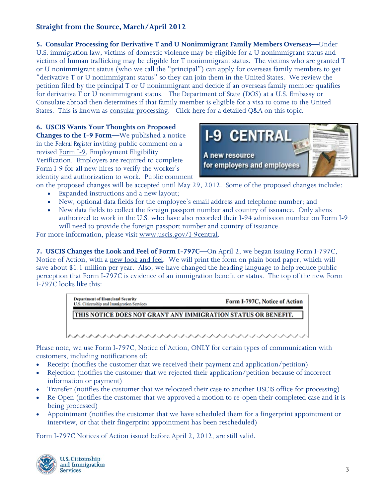**5. Consular Processing for Derivative T and U Nonimmigrant Family Members Overseas—**Under U.S. immigration law, victims of domestic violence may be eligible for a [U nonimmigrant status](http://www.uscis.gov/portal/site/uscis/menuitem.eb1d4c2a3e5b9ac89243c6a7543f6d1a/?vgnextoid=ee1e3e4d77d73210VgnVCM100000082ca60aRCRD&vgnextchannel=ee1e3e4d77d73210VgnVCM100000082ca60aRCRD) and victims of human trafficking may be eligible for [T nonimmigrant status.](http://www.uscis.gov/portal/site/uscis/menuitem.eb1d4c2a3e5b9ac89243c6a7543f6d1a/?vgnextoid=02ed3e4d77d73210VgnVCM100000082ca60aRCRD&vgnextchannel=02ed3e4d77d73210VgnVCM100000082ca60aRCRD) The victims who are granted T or U nonimmigrant status (who we call the "principal") can apply for overseas family members to get "derivative T or U nonimmigrant status" so they can join them in the United States. We review the petition filed by the principal T or U nonimmigrant and decide if an overseas family member qualifies for derivative T or U nonimmigrant status. The Department of State (DOS) at a U.S. Embassy or Consulate abroad then determines if that family member is eligible for a visa to come to the United States. This is known as [consular processing.](http://www.uscis.gov/portal/site/uscis/menuitem.eb1d4c2a3e5b9ac89243c6a7543f6d1a/?vgnextoid=62280a5659083210VgnVCM100000082ca60aRCRD&vgnextchannel=62280a5659083210VgnVCM100000082ca60aRCRD) Click [here](http://www.uscis.gov/portal/site/uscis/menuitem.5af9bb95919f35e66f614176543f6d1a/?vgnextoid=51f801bbea886310VgnVCM100000082ca60aRCRD&vgnextchannel=68439c7755cb9010VgnVCM10000045f3d6a1RCRD) for a detailed Q&A on this topic.

**6. [USCIS Wants Your Thoughts on Proposed](http://www.uscis.gov/portal/site/uscis/menuitem.5af9bb95919f35e66f614176543f6d1a/?vgnextoid=12cf087598056310VgnVCM100000082ca60aRCRD&vgnextchannel=68439c7755cb9010VgnVCM10000045f3d6a1RCRD)  [Changes to the I-9 Form—](http://www.uscis.gov/portal/site/uscis/menuitem.5af9bb95919f35e66f614176543f6d1a/?vgnextoid=12cf087598056310VgnVCM100000082ca60aRCRD&vgnextchannel=68439c7755cb9010VgnVCM10000045f3d6a1RCRD)**We published a notice in the *[Federal Register](http://www.gpo.gov/fdsys/pkg/FR-2012-03-27/html/2012-7340.htm)* inviting [public comment](http://www.uscis.gov/portal/site/uscis/menuitem.5af9bb95919f35e66f614176543f6d1a/?vgnextoid=12cf087598056310VgnVCM100000082ca60aRCRD&vgnextchannel=68439c7755cb9010VgnVCM10000045f3d6a1RCRD) on a revised [Form I-9,](http://www.regulations.gov/#!documentDetail;D=USCIS-2006-0068-0013) Employment Eligibility Verification. Employers are required to complete Form I-9 for all new hires to verify the worker's identity and authorization to work. Public comment



on the proposed changes will be accepted until May 29, 2012. Some of the proposed changes include:

- Expanded instructions and a new layout;
- New, optional data fields for the employee's email address and telephone number; and
- New data fields to collect the foreign passport number and country of issuance. Only aliens authorized to work in the U.S. who have also recorded their I-94 admission number on Form I-9 will need to provide the foreign passport number and country of issuance.

For more information, please visit [www.uscis.gov/I-9central.](http://www.uscis.gov/I-9central)

**7. [USCIS Changes the Look and Feel of Form I-797C](http://www.uscis.gov/portal/site/uscis/menuitem.5af9bb95919f35e66f614176543f6d1a/?vgnextoid=583c8b9740466310VgnVCM100000082ca60aRCRD&vgnextchannel=68439c7755cb9010VgnVCM10000045f3d6a1RCRD)**—On April 2, we began issuing Form I-797C, Notice of Action, with a [new look and feel.](http://www.uscis.gov/portal/site/uscis/menuitem.5af9bb95919f35e66f614176543f6d1a/?vgnextoid=583c8b9740466310VgnVCM100000082ca60aRCRD&vgnextchannel=68439c7755cb9010VgnVCM10000045f3d6a1RCRD) We will print the form on plain bond paper, which will save about \$1.1 million per year. Also, we have changed the heading language to help reduce public perception that Form I-797C is evidence of an immigration benefit or status. The top of the new Form I-797C looks like this:

| THIS NOTICE DOES NOT GRANT ANY IMMIGRATION STATUS OR BENEFIT. |
|---------------------------------------------------------------|

Please note, we use Form I-797C, Notice of Action, ONLY for certain types of communication with customers, including notifications of:

- Receipt (notifies the customer that we received their payment and application/petition)
- Rejection (notifies the customer that we rejected their application/petition because of incorrect information or payment)
- Transfer (notifies the customer that we relocated their case to another USCIS office for processing)
- Re-Open (notifies the customer that we approved a motion to re-open their completed case and it is being processed)
- Appointment (notifies the customer that we have scheduled them for a fingerprint appointment or interview, or that their fingerprint appointment has been rescheduled)

Form I-797C Notices of Action issued before April 2, 2012, are still valid.

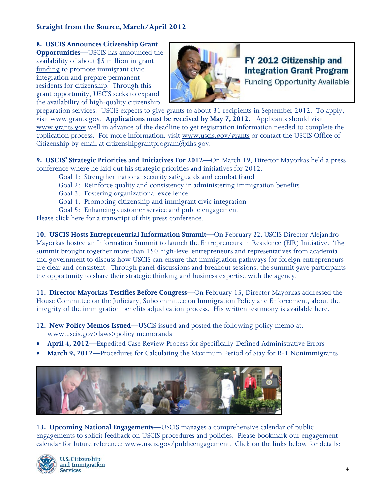**8. USCIS Announces Citizenship Grant Opportunities**—USCIS has announced the availability of about \$5 million in [grant](http://www.uscis.gov/portal/site/uscis/menuitem.5af9bb95919f35e66f614176543f6d1a/?vgnextoid=309d863c25136310VgnVCM100000082ca60aRCRD&vgnextchannel=68439c7755cb9010VgnVCM10000045f3d6a1RCRD)  [funding](http://www.uscis.gov/portal/site/uscis/menuitem.5af9bb95919f35e66f614176543f6d1a/?vgnextoid=309d863c25136310VgnVCM100000082ca60aRCRD&vgnextchannel=68439c7755cb9010VgnVCM10000045f3d6a1RCRD) to promote immigrant civic integration and prepare permanent residents for citizenship. Through this grant opportunity, USCIS seeks to expand the availability of high-quality citizenship



FY 2012 Citizenship and **Integration Grant Program** 

**Funding Opportunity Available** 

preparation services. USCIS expects to give grants to about 31 recipients in September 2012. To apply, visit [www.grants.gov.](http://www.grants.gov/) **Applications must be received by May 7, 2012.** Applicants should visit [www.grants.gov](http://www.grants.gov/) well in advance of the deadline to get registration information needed to complete the application process. For more information, visit [www.uscis.gov/grants](http://www.uscis.gov/grants) or contact the USCIS Office of Citizenship by email at [citizenshipgrantprogram@dhs.gov.](mailto:citizenshipgrantprogram@dhs.gov.)

**9. [USCIS' Strategic Priorities and Initiatives For 2012](http://www.uscis.gov/portal/site/uscis/menuitem.5af9bb95919f35e66f614176543f6d1a/?vgnextoid=f0b814c432c26310VgnVCM100000082ca60aRCRD&vgnextchannel=68439c7755cb9010VgnVCM10000045f3d6a1RCRD)**—On March 19, Director Mayorkas held a press conference where he laid out his strategic priorities and initiatives for 2012:

- Goal 1: Strengthen national security safeguards and combat fraud
- Goal 2: Reinforce quality and consistency in administering immigration benefits
- Goal 3: Fostering organizational excellence
- Goal 4: Promoting citizenship and immigrant civic integration
- Goal 5: Enhancing customer service and public engagement

Please click [here](http://www.uscis.gov/portal/site/uscis/menuitem.5af9bb95919f35e66f614176543f6d1a/?vgnextoid=f0b814c432c26310VgnVCM100000082ca60aRCRD&vgnextchannel=68439c7755cb9010VgnVCM10000045f3d6a1RCRD) for a transcript of this press conference.

**10. [USCIS Hosts Entrepreneurial Information Summit—](http://www.uscis.gov/portal/site/uscis/menuitem.5af9bb95919f35e66f614176543f6d1a/?vgnextoid=b143f754f66a5310VgnVCM100000082ca60aRCRD&vgnextchannel=68439c7755cb9010VgnVCM10000045f3d6a1RCRD)**On February *22,* USCIS Director Alejandro Mayorkas hosted an [Information Summit](http://www.uscis.gov/portal/site/uscis/menuitem.5af9bb95919f35e66f614176543f6d1a/?vgnextoid=b143f754f66a5310VgnVCM100000082ca60aRCRD&vgnextchannel=68439c7755cb9010VgnVCM10000045f3d6a1RCRD) to launch the Entrepreneurs in Residence (EIR) Initiative. [The](http://www.uscis.gov/portal/site/uscis/menuitem.5af9bb95919f35e66f614176543f6d1a/?vgnextoid=180cfac2f5825310VgnVCM100000082ca60aRCRD&vgnextchannel=e0b081c52aa38210VgnVCM100000082ca60aRCRD)  [summit](http://www.uscis.gov/portal/site/uscis/menuitem.5af9bb95919f35e66f614176543f6d1a/?vgnextoid=180cfac2f5825310VgnVCM100000082ca60aRCRD&vgnextchannel=e0b081c52aa38210VgnVCM100000082ca60aRCRD) brought together more than 150 high-level entrepreneurs and representatives from academia and government to discuss how USCIS can ensure that immigration pathways for foreign entrepreneurs are clear and consistent. Through panel discussions and breakout sessions, the summit gave participants the opportunity to share their strategic thinking and business expertise with the agency.

**11. Director Mayorkas Testifies Before Congress**—On February 15, Director Mayorkas addressed the House Committee on the Judiciary, Subcommittee on Immigration Policy and Enforcement, about the integrity of the immigration benefits adjudication process. His written testimony is available [here.](http://www.uscis.gov/USCIS/Resources/Resources%20for%20Congress/Testimonies%20and%20Speeches/safeguard_immigration_benefits_adjudication_mayorkas_testmny.pdf)

- **12. New Policy Memos Issued**—USCIS issued and posted the following policy memo at: www.uscis.gov>laws>policy memoranda
- **April 4, 2012**[—Expedited Case Review Process for Specifically-Defined Administrative Errors](http://www.uscis.gov/USCIS/Laws/Memoranda/2012/April/Correcting_Administrative_Error.pdf)
- **March 9, 2012**[—Procedures for Calculating the Maximum Period of Stay for R-1 Nonimmigrants](http://www.uscis.gov/USCIS/Laws/Memoranda/2012/March/R-1_Recapture_%20AFM_Update_3-8-12.pdf)



**13. Upcoming National Engagements**—USCIS manages a comprehensive calendar of public engagements to solicit feedback on USCIS procedures and policies. Please bookmark our engagement calendar for future reference: [www.uscis.gov/publicengagement.](http://www.uscis.gov/publicengagement) Click on the links below for details: